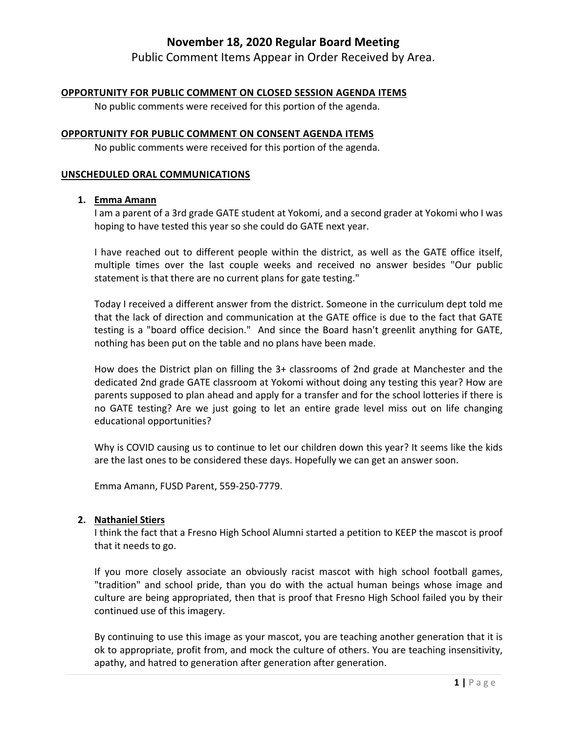Public Comment Items Appear in Order Received by Area.

#### **OPPORTUNITY FOR PUBLIC COMMENT ON CLOSED SESSION AGENDA ITEMS**

No public comments were received for this portion of the agenda.

#### **OPPORTUNITY FOR PUBLIC COMMENT ON CONSENT AGENDA ITEMS**

No public comments were received for this portion of the agenda.

#### **UNSCHEDULED ORAL COMMUNICATIONS**

#### **1. Emma Amann**

I am a parent of a 3rd grade GATE student at Yokomi, and a second grader at Yokomi who I was hoping to have tested this year so she could do GATE next year.

I have reached out to different people within the district, as well as the GATE office itself, multiple times over the last couple weeks and received no answer besides "Our public statement is that there are no current plans for gate testing."

Today I received a different answer from the district. Someone in the curriculum dept told me that the lack of direction and communication at the GATE office is due to the fact that GATE testing is a "board office decision." And since the Board hasn't greenlit anything for GATE, nothing has been put on the table and no plans have been made.

How does the District plan on filling the 3+ classrooms of 2nd grade at Manchester and the dedicated 2nd grade GATE classroom at Yokomi without doing any testing this year? How are parents supposed to plan ahead and apply for a transfer and for the school lotteries if there is no GATE testing? Are we just going to let an entire grade level miss out on life changing educational opportunities?

Why is COVID causing us to continue to let our children down this year? It seems like the kids are the last ones to be considered these days. Hopefully we can get an answer soon.

Emma Amann, FUSD Parent, 559‐250‐7779.

#### **2. Nathaniel Stiers**

I think the fact that a Fresno High School Alumni started a petition to KEEP the mascot is proof that it needs to go.

If you more closely associate an obviously racist mascot with high school football games, "tradition" and school pride, than you do with the actual human beings whose image and culture are being appropriated, then that is proof that Fresno High School failed you by their continued use of this imagery.

By continuing to use this image as your mascot, you are teaching another generation that it is ok to appropriate, profit from, and mock the culture of others. You are teaching insensitivity, apathy, and hatred to generation after generation after generation.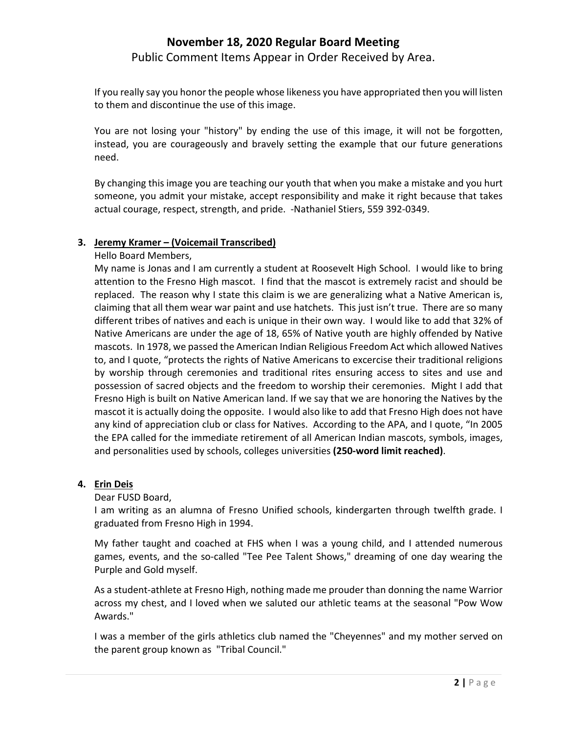Public Comment Items Appear in Order Received by Area.

If you really say you honor the people whose likeness you have appropriated then you will listen to them and discontinue the use of this image.

You are not losing your "history" by ending the use of this image, it will not be forgotten, instead, you are courageously and bravely setting the example that our future generations need.

By changing this image you are teaching our youth that when you make a mistake and you hurt someone, you admit your mistake, accept responsibility and make it right because that takes actual courage, respect, strength, and pride. ‐Nathaniel Stiers, 559 392‐0349.

#### **3. Jeremy Kramer – (Voicemail Transcribed)**

Hello Board Members,

My name is Jonas and I am currently a student at Roosevelt High School. I would like to bring attention to the Fresno High mascot. I find that the mascot is extremely racist and should be replaced. The reason why I state this claim is we are generalizing what a Native American is, claiming that all them wear war paint and use hatchets. This just isn't true. There are so many different tribes of natives and each is unique in their own way. I would like to add that 32% of Native Americans are under the age of 18, 65% of Native youth are highly offended by Native mascots. In 1978, we passed the American Indian Religious Freedom Act which allowed Natives to, and I quote, "protects the rights of Native Americans to excercise their traditional religions by worship through ceremonies and traditional rites ensuring access to sites and use and possession of sacred objects and the freedom to worship their ceremonies. Might I add that Fresno High is built on Native American land. If we say that we are honoring the Natives by the mascot it is actually doing the opposite. I would also like to add that Fresno High does not have any kind of appreciation club or class for Natives. According to the APA, and I quote, "In 2005 the EPA called for the immediate retirement of all American Indian mascots, symbols, images, and personalities used by schools, colleges universities **(250‐word limit reached)**.

## **4. Erin Deis**

Dear FUSD Board,

I am writing as an alumna of Fresno Unified schools, kindergarten through twelfth grade. I graduated from Fresno High in 1994.

My father taught and coached at FHS when I was a young child, and I attended numerous games, events, and the so-called "Tee Pee Talent Shows," dreaming of one day wearing the Purple and Gold myself.

As a student‐athlete at Fresno High, nothing made me prouder than donning the name Warrior across my chest, and I loved when we saluted our athletic teams at the seasonal "Pow Wow Awards."

I was a member of the girls athletics club named the "Cheyennes" and my mother served on the parent group known as "Tribal Council."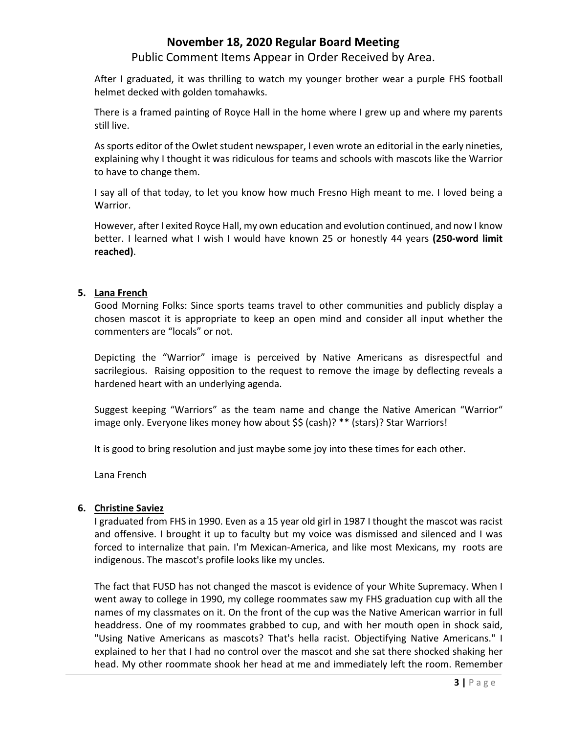Public Comment Items Appear in Order Received by Area.

After I graduated, it was thrilling to watch my younger brother wear a purple FHS football helmet decked with golden tomahawks.

There is a framed painting of Royce Hall in the home where I grew up and where my parents still live.

As sports editor of the Owlet student newspaper, I even wrote an editorial in the early nineties, explaining why I thought it was ridiculous for teams and schools with mascots like the Warrior to have to change them.

I say all of that today, to let you know how much Fresno High meant to me. I loved being a Warrior.

However, after I exited Royce Hall, my own education and evolution continued, and now I know better. I learned what I wish I would have known 25 or honestly 44 years **(250‐word limit reached)**.

#### **5. Lana French**

Good Morning Folks: Since sports teams travel to other communities and publicly display a chosen mascot it is appropriate to keep an open mind and consider all input whether the commenters are "locals" or not.

Depicting the "Warrior" image is perceived by Native Americans as disrespectful and sacrilegious. Raising opposition to the request to remove the image by deflecting reveals a hardened heart with an underlying agenda.

Suggest keeping "Warriors" as the team name and change the Native American "Warrior" image only. Everyone likes money how about \$\$ (cash)? \*\* (stars)? Star Warriors!

It is good to bring resolution and just maybe some joy into these times for each other.

Lana French

#### **6. Christine Saviez**

I graduated from FHS in 1990. Even as a 15 year old girl in 1987 I thought the mascot was racist and offensive. I brought it up to faculty but my voice was dismissed and silenced and I was forced to internalize that pain. I'm Mexican‐America, and like most Mexicans, my roots are indigenous. The mascot's profile looks like my uncles.

The fact that FUSD has not changed the mascot is evidence of your White Supremacy. When I went away to college in 1990, my college roommates saw my FHS graduation cup with all the names of my classmates on it. On the front of the cup was the Native American warrior in full headdress. One of my roommates grabbed to cup, and with her mouth open in shock said, "Using Native Americans as mascots? That's hella racist. Objectifying Native Americans." I explained to her that I had no control over the mascot and she sat there shocked shaking her head. My other roommate shook her head at me and immediately left the room. Remember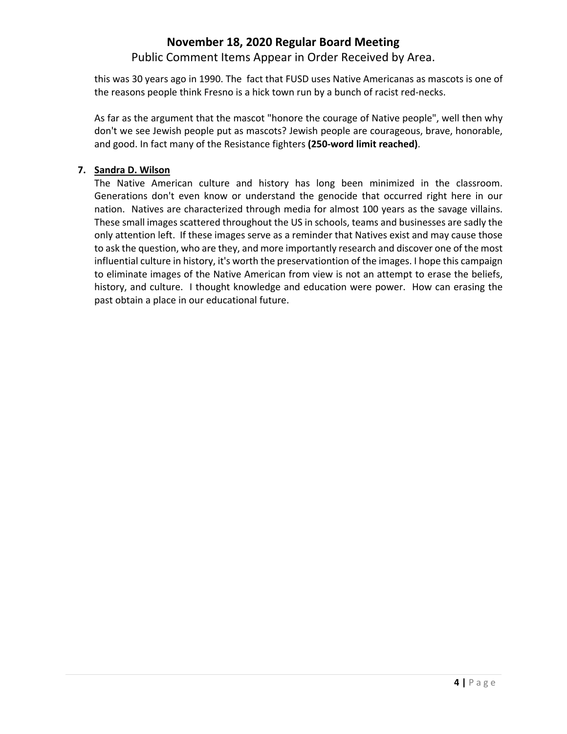Public Comment Items Appear in Order Received by Area.

this was 30 years ago in 1990. The fact that FUSD uses Native Americanas as mascots is one of the reasons people think Fresno is a hick town run by a bunch of racist red‐necks.

As far as the argument that the mascot "honore the courage of Native people", well then why don't we see Jewish people put as mascots? Jewish people are courageous, brave, honorable, and good. In fact many of the Resistance fighters **(250‐word limit reached)**.

## **7. Sandra D. Wilson**

The Native American culture and history has long been minimized in the classroom. Generations don't even know or understand the genocide that occurred right here in our nation. Natives are characterized through media for almost 100 years as the savage villains. These small images scattered throughout the US in schools, teams and businesses are sadly the only attention left. If these images serve as a reminder that Natives exist and may cause those to ask the question, who are they, and more importantly research and discover one of the most influential culture in history, it's worth the preservationtion of the images. I hope this campaign to eliminate images of the Native American from view is not an attempt to erase the beliefs, history, and culture. I thought knowledge and education were power. How can erasing the past obtain a place in our educational future.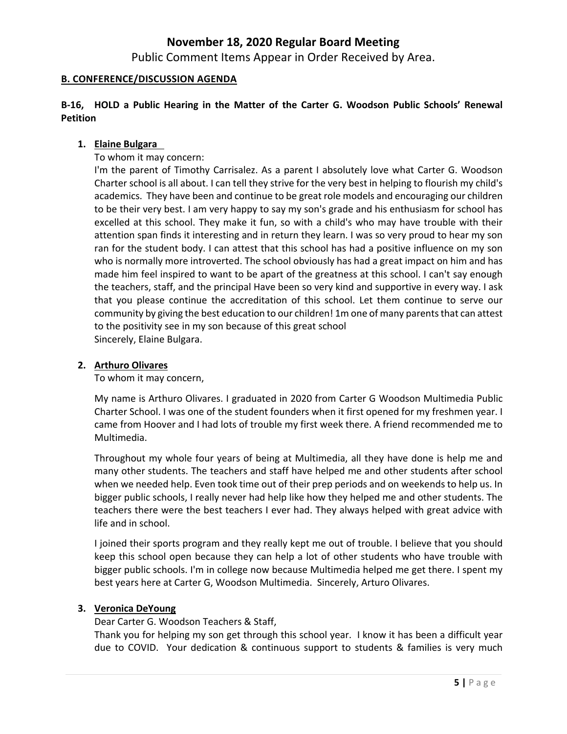Public Comment Items Appear in Order Received by Area.

### **B. CONFERENCE/DISCUSSION AGENDA**

**B‐16, HOLD a Public Hearing in the Matter of the Carter G. Woodson Public Schools' Renewal Petition**

#### **1. Elaine Bulgara**

To whom it may concern:

I'm the parent of Timothy Carrisalez. As a parent I absolutely love what Carter G. Woodson Charter school is all about. I can tell they strive for the very best in helping to flourish my child's academics. They have been and continue to be great role models and encouraging our children to be their very best. I am very happy to say my son's grade and his enthusiasm for school has excelled at this school. They make it fun, so with a child's who may have trouble with their attention span finds it interesting and in return they learn. I was so very proud to hear my son ran for the student body. I can attest that this school has had a positive influence on my son who is normally more introverted. The school obviously has had a great impact on him and has made him feel inspired to want to be apart of the greatness at this school. I can't say enough the teachers, staff, and the principal Have been so very kind and supportive in every way. I ask that you please continue the accreditation of this school. Let them continue to serve our community by giving the best education to our children! 1m one of many parents that can attest to the positivity see in my son because of this great school Sincerely, Elaine Bulgara.

#### **2. Arthuro Olivares**

To whom it may concern,

My name is Arthuro Olivares. I graduated in 2020 from Carter G Woodson Multimedia Public Charter School. I was one of the student founders when it first opened for my freshmen year. I came from Hoover and I had lots of trouble my first week there. A friend recommended me to Multimedia.

Throughout my whole four years of being at Multimedia, all they have done is help me and many other students. The teachers and staff have helped me and other students after school when we needed help. Even took time out of their prep periods and on weekends to help us. In bigger public schools, I really never had help like how they helped me and other students. The teachers there were the best teachers I ever had. They always helped with great advice with life and in school.

I joined their sports program and they really kept me out of trouble. I believe that you should keep this school open because they can help a lot of other students who have trouble with bigger public schools. I'm in college now because Multimedia helped me get there. I spent my best years here at Carter G, Woodson Multimedia. Sincerely, Arturo Olivares.

#### **3. Veronica DeYoung**

Dear Carter G. Woodson Teachers & Staff,

Thank you for helping my son get through this school year. I know it has been a difficult year due to COVID. Your dedication & continuous support to students & families is very much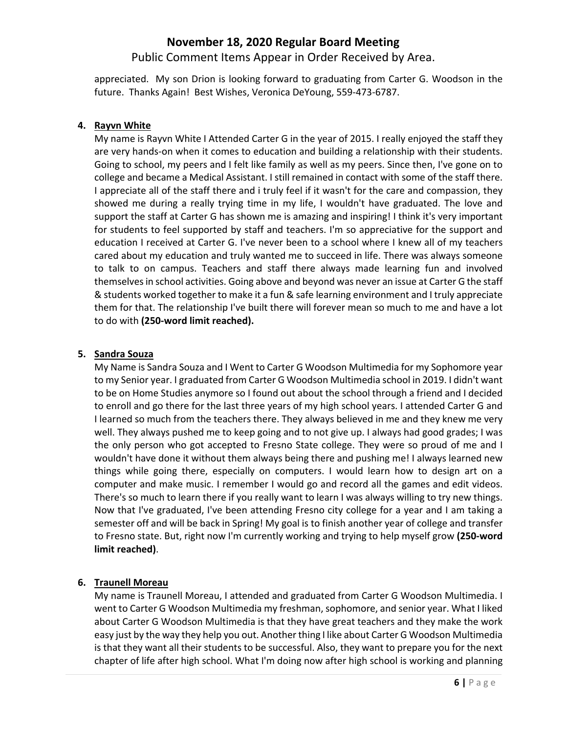Public Comment Items Appear in Order Received by Area.

appreciated. My son Drion is looking forward to graduating from Carter G. Woodson in the future. Thanks Again! Best Wishes, Veronica DeYoung, 559‐473‐6787.

## **4. Rayvn White**

My name is Rayvn White I Attended Carter G in the year of 2015. I really enjoyed the staff they are very hands‐on when it comes to education and building a relationship with their students. Going to school, my peers and I felt like family as well as my peers. Since then, I've gone on to college and became a Medical Assistant. I still remained in contact with some of the staff there. I appreciate all of the staff there and i truly feel if it wasn't for the care and compassion, they showed me during a really trying time in my life, I wouldn't have graduated. The love and support the staff at Carter G has shown me is amazing and inspiring! I think it's very important for students to feel supported by staff and teachers. I'm so appreciative for the support and education I received at Carter G. I've never been to a school where I knew all of my teachers cared about my education and truly wanted me to succeed in life. There was always someone to talk to on campus. Teachers and staff there always made learning fun and involved themselves in school activities. Going above and beyond was never an issue at Carter G the staff & students worked together to make it a fun & safe learning environment and I truly appreciate them for that. The relationship I've built there will forever mean so much to me and have a lot to do with **(250‐word limit reached).**

## **5. Sandra Souza**

My Name is Sandra Souza and I Went to Carter G Woodson Multimedia for my Sophomore year to my Senior year. I graduated from Carter G Woodson Multimedia school in 2019. I didn't want to be on Home Studies anymore so I found out about the school through a friend and I decided to enroll and go there for the last three years of my high school years. I attended Carter G and I learned so much from the teachers there. They always believed in me and they knew me very well. They always pushed me to keep going and to not give up. I always had good grades; I was the only person who got accepted to Fresno State college. They were so proud of me and I wouldn't have done it without them always being there and pushing me! I always learned new things while going there, especially on computers. I would learn how to design art on a computer and make music. I remember I would go and record all the games and edit videos. There's so much to learn there if you really want to learn I was always willing to try new things. Now that I've graduated, I've been attending Fresno city college for a year and I am taking a semester off and will be back in Spring! My goal is to finish another year of college and transfer to Fresno state. But, right now I'm currently working and trying to help myself grow **(250‐word limit reached)**.

## **6. Traunell Moreau**

My name is Traunell Moreau, I attended and graduated from Carter G Woodson Multimedia. I went to Carter G Woodson Multimedia my freshman, sophomore, and senior year. What I liked about Carter G Woodson Multimedia is that they have great teachers and they make the work easy just by the way they help you out. Another thing I like about Carter G Woodson Multimedia is that they want all their students to be successful. Also, they want to prepare you for the next chapter of life after high school. What I'm doing now after high school is working and planning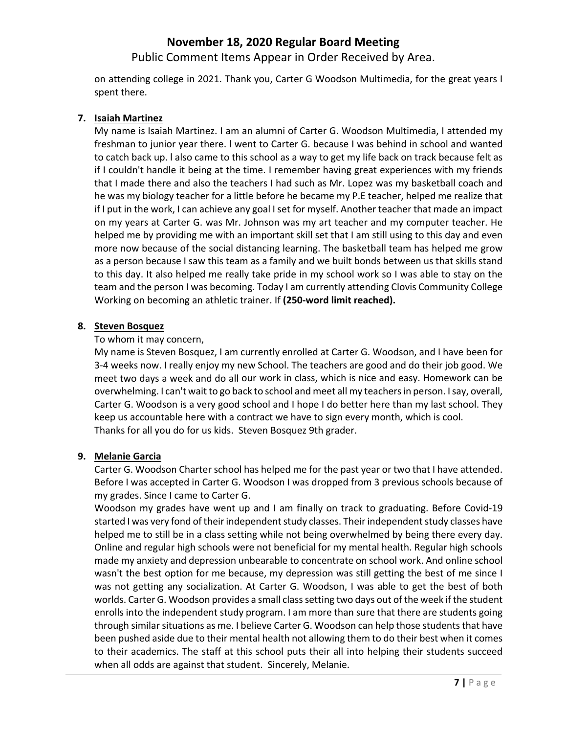Public Comment Items Appear in Order Received by Area.

on attending college in 2021. Thank you, Carter G Woodson Multimedia, for the great years I spent there.

### **7. Isaiah Martinez**

My name is Isaiah Martinez. I am an alumni of Carter G. Woodson Multimedia, I attended my freshman to junior year there. l went to Carter G. because I was behind in school and wanted to catch back up. l also came to this school as a way to get my life back on track because felt as if I couldn't handle it being at the time. I remember having great experiences with my friends that I made there and also the teachers I had such as Mr. Lopez was my basketball coach and he was my biology teacher for a little before he became my P.E teacher, helped me realize that if I put in the work, I can achieve any goal I set for myself. Another teacher that made an impact on my years at Carter G. was Mr. Johnson was my art teacher and my computer teacher. He helped me by providing me with an important skill set that I am still using to this day and even more now because of the social distancing learning. The basketball team has helped me grow as a person because I saw this team as a family and we built bonds between us that skills stand to this day. It also helped me really take pride in my school work so I was able to stay on the team and the person I was becoming. Today I am currently attending Clovis Community College Working on becoming an athletic trainer. If **(250‐word limit reached).**

#### **8. Steven Bosquez**

## To whom it may concern,

My name is Steven Bosquez, I am currently enrolled at Carter G. Woodson, and I have been for 3‐4 weeks now. I really enjoy my new School. The teachers are good and do their job good. We meet two days a week and do all our work in class, which is nice and easy. Homework can be overwhelming. I can't wait to go back to school and meet all my teachers in person. I say, overall, Carter G. Woodson is a very good school and I hope I do better here than my last school. They keep us accountable here with a contract we have to sign every month, which is cool. Thanks for all you do for us kids. Steven Bosquez 9th grader.

## **9. Melanie Garcia**

Carter G. Woodson Charter school has helped me for the past year or two that I have attended. Before I was accepted in Carter G. Woodson I was dropped from 3 previous schools because of my grades. Since I came to Carter G.

Woodson my grades have went up and I am finally on track to graduating. Before Covid‐19 started I was very fond of their independent study classes. Their independent study classes have helped me to still be in a class setting while not being overwhelmed by being there every day. Online and regular high schools were not beneficial for my mental health. Regular high schools made my anxiety and depression unbearable to concentrate on school work. And online school wasn't the best option for me because, my depression was still getting the best of me since I was not getting any socialization. At Carter G. Woodson, I was able to get the best of both worlds. Carter G. Woodson provides a small class setting two days out of the week if the student enrolls into the independent study program. I am more than sure that there are students going through similar situations as me. I believe Carter G. Woodson can help those students that have been pushed aside due to their mental health not allowing them to do their best when it comes to their academics. The staff at this school puts their all into helping their students succeed when all odds are against that student. Sincerely, Melanie.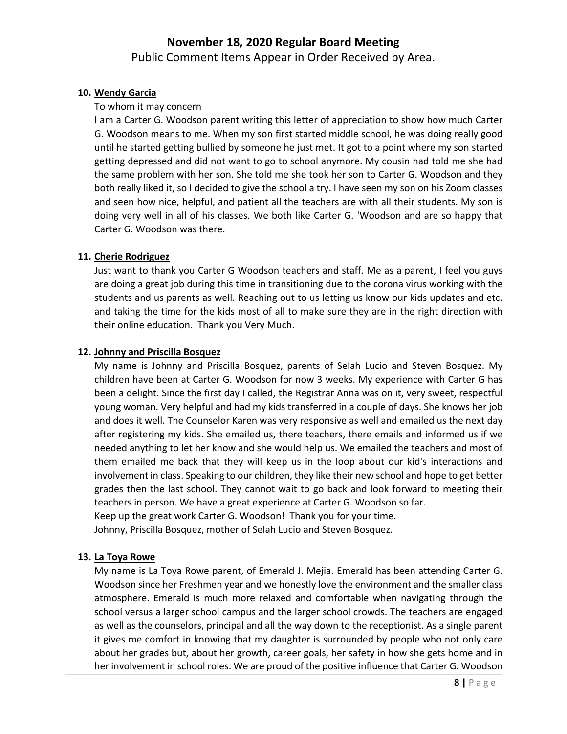Public Comment Items Appear in Order Received by Area.

#### **10. Wendy Garcia**

#### To whom it may concern

I am a Carter G. Woodson parent writing this letter of appreciation to show how much Carter G. Woodson means to me. When my son first started middle school, he was doing really good until he started getting bullied by someone he just met. It got to a point where my son started getting depressed and did not want to go to school anymore. My cousin had told me she had the same problem with her son. She told me she took her son to Carter G. Woodson and they both really liked it, so I decided to give the school a try. I have seen my son on his Zoom classes and seen how nice, helpful, and patient all the teachers are with all their students. My son is doing very well in all of his classes. We both like Carter G. 'Woodson and are so happy that Carter G. Woodson was there.

#### **11. Cherie Rodriguez**

Just want to thank you Carter G Woodson teachers and staff. Me as a parent, I feel you guys are doing a great job during this time in transitioning due to the corona virus working with the students and us parents as well. Reaching out to us letting us know our kids updates and etc. and taking the time for the kids most of all to make sure they are in the right direction with their online education. Thank you Very Much.

#### **12. Johnny and Priscilla Bosquez**

My name is Johnny and Priscilla Bosquez, parents of Selah Lucio and Steven Bosquez. My children have been at Carter G. Woodson for now 3 weeks. My experience with Carter G has been a delight. Since the first day I called, the Registrar Anna was on it, very sweet, respectful young woman. Very helpful and had my kids transferred in a couple of days. She knows her job and does it well. The Counselor Karen was very responsive as well and emailed us the next day after registering my kids. She emailed us, there teachers, there emails and informed us if we needed anything to let her know and she would help us. We emailed the teachers and most of them emailed me back that they will keep us in the loop about our kid's interactions and involvement in class. Speaking to our children, they like their new school and hope to get better grades then the last school. They cannot wait to go back and look forward to meeting their teachers in person. We have a great experience at Carter G. Woodson so far. Keep up the great work Carter G. Woodson! Thank you for your time.

Johnny, Priscilla Bosquez, mother of Selah Lucio and Steven Bosquez.

## **13. La Toya Rowe**

My name is La Toya Rowe parent, of Emerald J. Mejia. Emerald has been attending Carter G. Woodson since her Freshmen year and we honestly love the environment and the smaller class atmosphere. Emerald is much more relaxed and comfortable when navigating through the school versus a larger school campus and the larger school crowds. The teachers are engaged as well as the counselors, principal and all the way down to the receptionist. As a single parent it gives me comfort in knowing that my daughter is surrounded by people who not only care about her grades but, about her growth, career goals, her safety in how she gets home and in her involvement in school roles. We are proud of the positive influence that Carter G. Woodson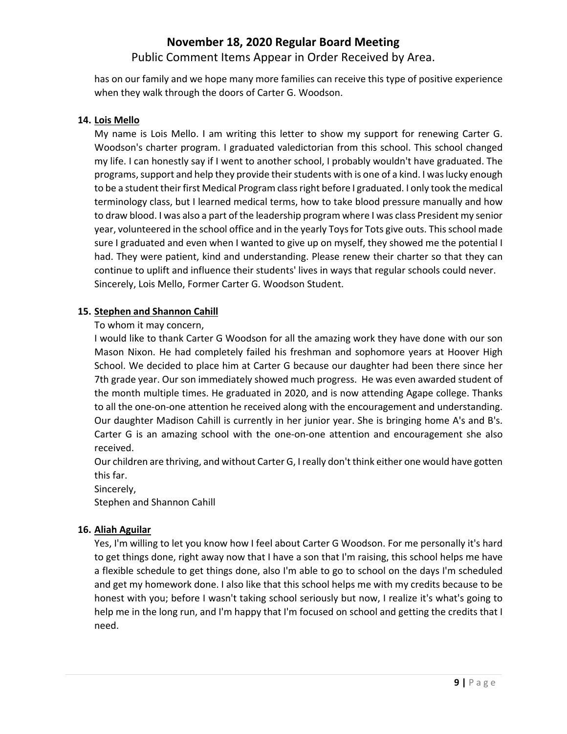Public Comment Items Appear in Order Received by Area.

has on our family and we hope many more families can receive this type of positive experience when they walk through the doors of Carter G. Woodson.

## **14. Lois Mello**

My name is Lois Mello. I am writing this letter to show my support for renewing Carter G. Woodson's charter program. I graduated valedictorian from this school. This school changed my life. I can honestly say if I went to another school, I probably wouldn't have graduated. The programs, support and help they provide their students with is one of a kind. I was lucky enough to be a student their first Medical Program class right before I graduated. I only took the medical terminology class, but I learned medical terms, how to take blood pressure manually and how to draw blood. I was also a part of the leadership program where I was class President my senior year, volunteered in the school office and in the yearly Toys for Tots give outs. This school made sure I graduated and even when I wanted to give up on myself, they showed me the potential I had. They were patient, kind and understanding. Please renew their charter so that they can continue to uplift and influence their students' lives in ways that regular schools could never. Sincerely, Lois Mello, Former Carter G. Woodson Student.

## **15. Stephen and Shannon Cahill**

To whom it may concern,

I would like to thank Carter G Woodson for all the amazing work they have done with our son Mason Nixon. He had completely failed his freshman and sophomore years at Hoover High School. We decided to place him at Carter G because our daughter had been there since her 7th grade year. Our son immediately showed much progress. He was even awarded student of the month multiple times. He graduated in 2020, and is now attending Agape college. Thanks to all the one-on-one attention he received along with the encouragement and understanding. Our daughter Madison Cahill is currently in her junior year. She is bringing home A's and B's. Carter G is an amazing school with the one‐on‐one attention and encouragement she also received.

Our children are thriving, and without Carter G, I really don't think either one would have gotten this far.

Sincerely,

Stephen and Shannon Cahill

## **16. Aliah Aguilar**

Yes, I'm willing to let you know how I feel about Carter G Woodson. For me personally it's hard to get things done, right away now that I have a son that I'm raising, this school helps me have a flexible schedule to get things done, also I'm able to go to school on the days I'm scheduled and get my homework done. I also like that this school helps me with my credits because to be honest with you; before I wasn't taking school seriously but now, I realize it's what's going to help me in the long run, and I'm happy that I'm focused on school and getting the credits that I need.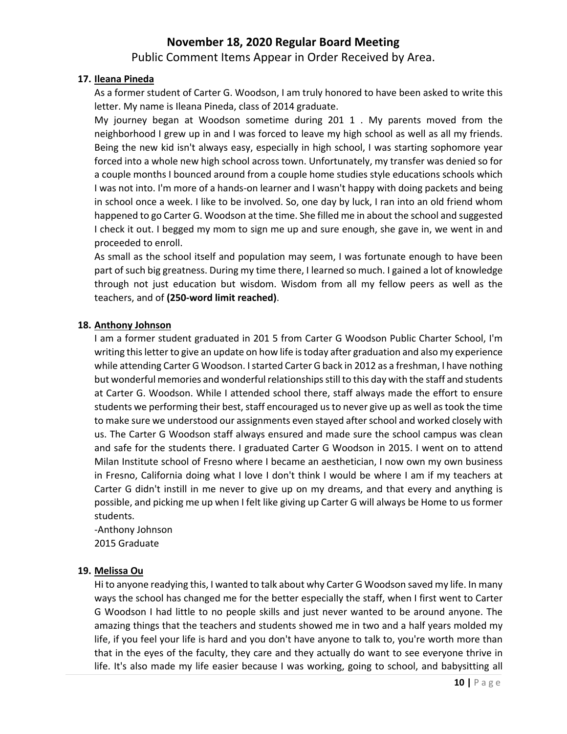## Public Comment Items Appear in Order Received by Area.

### **17. Ileana Pineda**

As a former student of Carter G. Woodson, I am truly honored to have been asked to write this letter. My name is Ileana Pineda, class of 2014 graduate.

My journey began at Woodson sometime during 201 1 . My parents moved from the neighborhood I grew up in and I was forced to leave my high school as well as all my friends. Being the new kid isn't always easy, especially in high school, I was starting sophomore year forced into a whole new high school across town. Unfortunately, my transfer was denied so for a couple months I bounced around from a couple home studies style educations schools which I was not into. I'm more of a hands‐on learner and I wasn't happy with doing packets and being in school once a week. I like to be involved. So, one day by luck, I ran into an old friend whom happened to go Carter G. Woodson at the time. She filled me in about the school and suggested I check it out. I begged my mom to sign me up and sure enough, she gave in, we went in and proceeded to enroll.

As small as the school itself and population may seem, I was fortunate enough to have been part of such big greatness. During my time there, I learned so much. I gained a lot of knowledge through not just education but wisdom. Wisdom from all my fellow peers as well as the teachers, and of **(250‐word limit reached)**.

#### **18. Anthony Johnson**

I am a former student graduated in 201 5 from Carter G Woodson Public Charter School, I'm writing thisletter to give an update on how life istoday after graduation and also my experience while attending Carter G Woodson. I started Carter G back in 2012 as a freshman, I have nothing but wonderful memories and wonderful relationships still to this day with the staff and students at Carter G. Woodson. While I attended school there, staff always made the effort to ensure students we performing their best, staff encouraged us to never give up as well as took the time to make sure we understood our assignments even stayed afterschool and worked closely with us. The Carter G Woodson staff always ensured and made sure the school campus was clean and safe for the students there. I graduated Carter G Woodson in 2015. I went on to attend Milan Institute school of Fresno where I became an aesthetician, I now own my own business in Fresno, California doing what I love I don't think I would be where I am if my teachers at Carter G didn't instill in me never to give up on my dreams, and that every and anything is possible, and picking me up when I felt like giving up Carter G will always be Home to us former students.

‐Anthony Johnson 2015 Graduate

### **19. Melissa Ou**

Hi to anyone readying this, I wanted to talk about why Carter G Woodson saved my life. In many ways the school has changed me for the better especially the staff, when I first went to Carter G Woodson I had little to no people skills and just never wanted to be around anyone. The amazing things that the teachers and students showed me in two and a half years molded my life, if you feel your life is hard and you don't have anyone to talk to, you're worth more than that in the eyes of the faculty, they care and they actually do want to see everyone thrive in life. It's also made my life easier because I was working, going to school, and babysitting all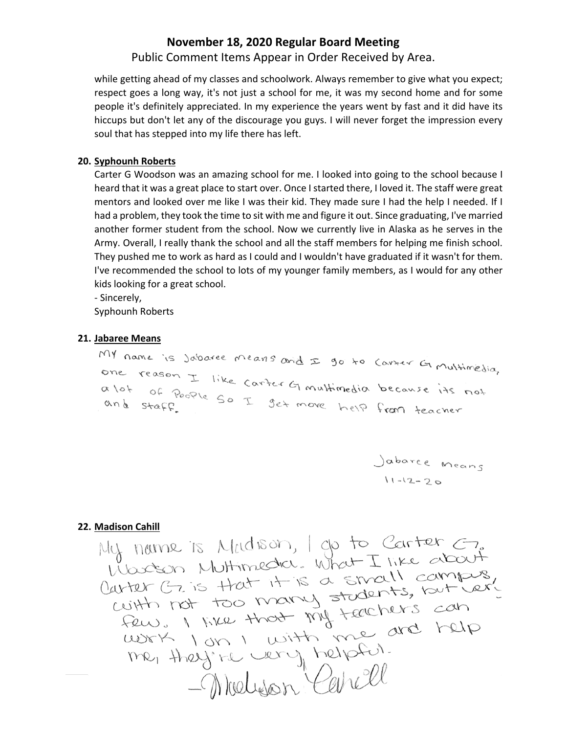Public Comment Items Appear in Order Received by Area.

while getting ahead of my classes and schoolwork. Always remember to give what you expect; respect goes a long way, it's not just a school for me, it was my second home and for some people it's definitely appreciated. In my experience the years went by fast and it did have its hiccups but don't let any of the discourage you guys. I will never forget the impression every soul that has stepped into my life there has left.

#### **20. Syphounh Roberts**

Carter G Woodson was an amazing school for me. I looked into going to the school because I heard that it was a great place to start over. Once I started there, I loved it. The staff were great mentors and looked over me like I was their kid. They made sure I had the help I needed. If I had a problem, they took the time to sit with me and figure it out. Since graduating, I've married another former student from the school. Now we currently live in Alaska as he serves in the Army. Overall, I really thank the school and all the staff members for helping me finish school. They pushed me to work as hard as I could and I wouldn't have graduated if it wasn't for them. I've recommended the school to lots of my younger family members, as I would for any other kids looking for a great school.

‐ Sincerely,

Syphounh Roberts

21. Jabaree Means<br>My name is jobaree means and I go to Corter G multimedia, one reason I like carter Gimultimedia because its not a lot of People So I get move help from teacher

Jabarce Means<br>11-12-20

22. <u>Madison Cahill</u><br>My norme is Meldison, I go to Carter  $\epsilon$ ,<br>Woodson Muttimedia. What I like about Modeon Multimedia. What I like acco.<br>Carter G. is that it is a small compus,<br>cuith not too many students, but cer,<br>few. I was that my teachers can<br>work I on I with me are help me, they're very helpful.